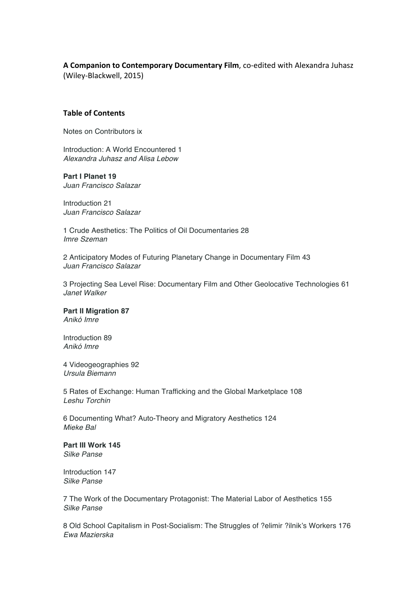# A Companion to Contemporary Documentary Film, co-edited with Alexandra Juhasz

(Wiley-Blackwell, 2015)

## **Table of Contents**

Notes on Contributors ix

Introduction: A World Encountered 1 *Alexandra Juhasz and Alisa Lebow*

## **Part I Planet 19**

*Juan Francisco Salazar*

Introduction 21 *Juan Francisco Salazar*

1 Crude Aesthetics: The Politics of Oil Documentaries 28 *Imre Szeman*

2 Anticipatory Modes of Futuring Planetary Change in Documentary Film 43 *Juan Francisco Salazar*

3 Projecting Sea Level Rise: Documentary Film and Other Geolocative Technologies 61 *Janet Walker*

## **Part II Migration 87**

*Anikó Imre*

Introduction 89 *Anikó Imre*

4 Videogeographies 92 *Ursula Biemann*

5 Rates of Exchange: Human Trafficking and the Global Marketplace 108 *Leshu Torchin*

6 Documenting What? Auto-Theory and Migratory Aesthetics 124 *Mieke Bal*

**Part III Work 145** *Silke Panse*

Introduction 147 *Silke Panse*

7 The Work of the Documentary Protagonist: The Material Labor of Aesthetics 155 *Silke Panse*

8 Old School Capitalism in Post-Socialism: The Struggles of ?elimir ?ilnik's Workers 176 *Ewa Mazierska*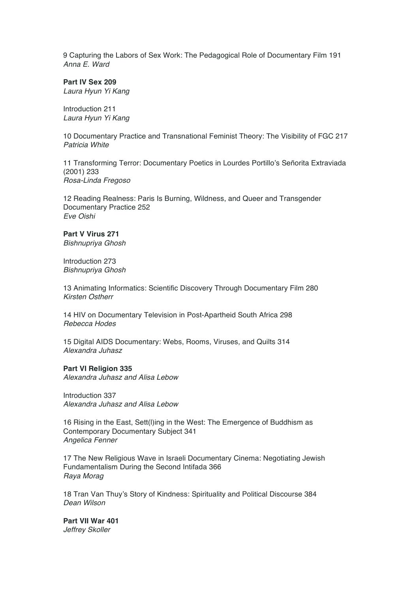9 Capturing the Labors of Sex Work: The Pedagogical Role of Documentary Film 191 *Anna E. Ward*

**Part IV Sex 209**

*Laura Hyun Yi Kang*

Introduction 211 *Laura Hyun Yi Kang*

10 Documentary Practice and Transnational Feminist Theory: The Visibility of FGC 217 *Patricia White*

11 Transforming Terror: Documentary Poetics in Lourdes Portillo's Señorita Extraviada (2001) 233 *Rosa-Linda Fregoso*

12 Reading Realness: Paris Is Burning, Wildness, and Queer and Transgender Documentary Practice 252 *Eve Oishi*

**Part V Virus 271** *Bishnupriya Ghosh*

Introduction 273 *Bishnupriya Ghosh*

13 Animating Informatics: Scientific Discovery Through Documentary Film 280 *Kirsten Ostherr*

14 HIV on Documentary Television in Post-Apartheid South Africa 298 *Rebecca Hodes*

15 Digital AIDS Documentary: Webs, Rooms, Viruses, and Quilts 314 *Alexandra Juhasz*

**Part VI Religion 335** *Alexandra Juhasz and Alisa Lebow*

Introduction 337 *Alexandra Juhasz and Alisa Lebow*

16 Rising in the East, Sett(l)ing in the West: The Emergence of Buddhism as Contemporary Documentary Subject 341 *Angelica Fenner*

17 The New Religious Wave in Israeli Documentary Cinema: Negotiating Jewish Fundamentalism During the Second Intifada 366 *Raya Morag*

18 Tran Van Thuy's Story of Kindness: Spirituality and Political Discourse 384 *Dean Wilson*

**Part VII War 401** *Jeffrey Skoller*